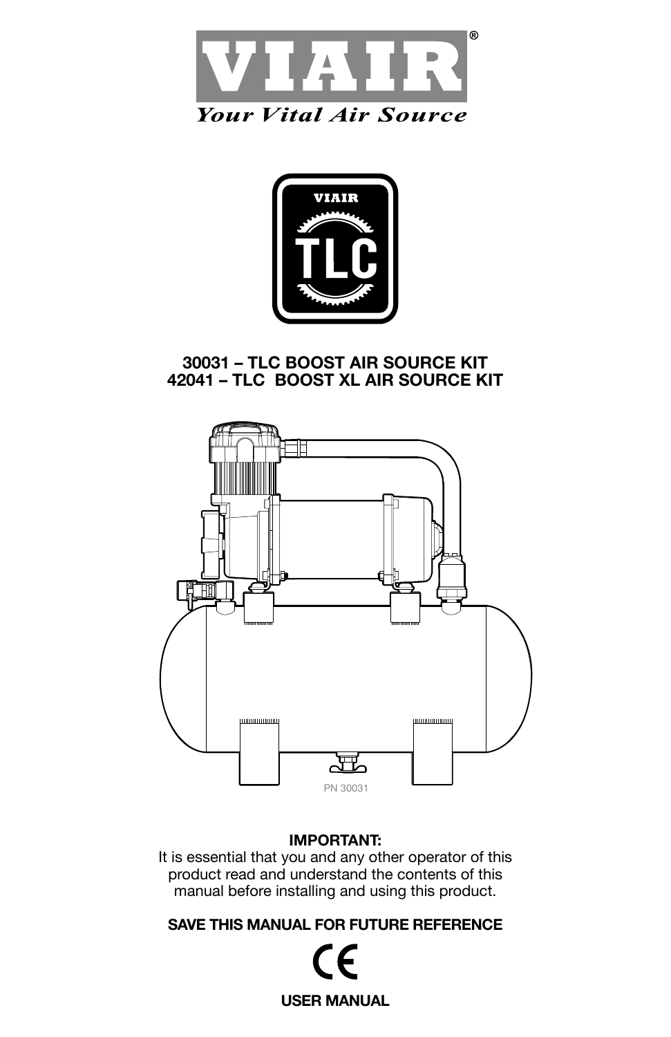



# **30031 – TLC BOOST AIR SOURCE KIT 42041 – TLC BOOST XL AIR SOURCE KIT**



## **IMPORTANT:**

It is essential that you and any other operator of this product read and understand the contents of this manual before installing and using this product.

**SAVE THIS MANUAL FOR FUTURE REFERENCE**

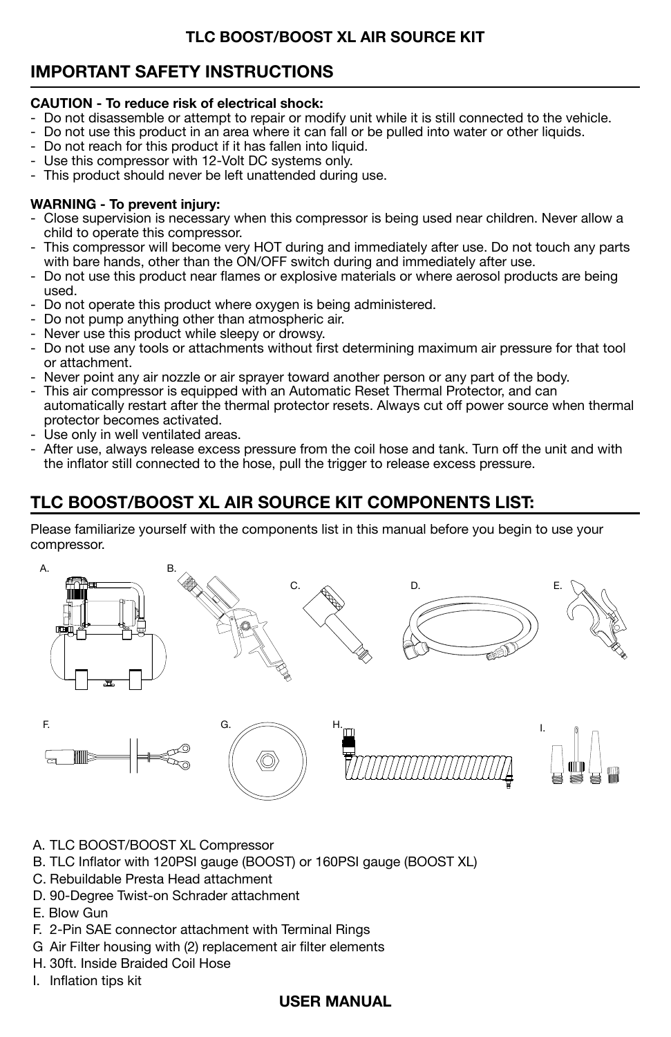# **IMPORTANT SAFETY INSTRUCTIONS**

#### **CAUTION - To reduce risk of electrical shock:**

- Do not disassemble or attempt to repair or modify unit while it is still connected to the vehicle.
- Do not use this product in an area where it can fall or be pulled into water or other liquids.
- Do not reach for this product if it has fallen into liquid.
- Use this compressor with 12-Volt DC systems only.
- This product should never be left unattended during use.

#### **WARNING - To prevent injury:**

- Close supervision is necessary when this compressor is being used near children. Never allow a child to operate this compressor.
- This compressor will become very HOT during and immediately after use. Do not touch any parts with bare hands, other than the ON/OFF switch during and immediately after use.
- Do not use this product near flames or explosive materials or where aerosol products are being used.
- Do not operate this product where oxygen is being administered.
- Do not pump anything other than atmospheric air.
- Never use this product while sleepy or drowsy.
- Do not use any tools or attachments without first determining maximum air pressure for that tool or attachment.
- Never point any air nozzle or air sprayer toward another person or any part of the body.
- This air compressor is equipped with an Automatic Reset Thermal Protector, and can automatically restart after the thermal protector resets. Always cut off power source when thermal protector becomes activated.
- Use only in well ventilated areas.
- After use, always release excess pressure from the coil hose and tank. Turn off the unit and with the inflator still connected to the hose, pull the trigger to release excess pressure.

# **TLC BOOST/BOOST XL AIR SOURCE KIT COMPONENTS LIST:**

Please familiarize yourself with the components list in this manual before you begin to use your compressor.



- A. TLC BOOST/BOOST XL Compressor
- B. TLC Inflator with 120PSI gauge (BOOST) or 160PSI gauge (BOOST XL)
- C. Rebuildable Presta Head attachment
- D. 90-Degree Twist-on Schrader attachment
- E. Blow Gun
- F. 2-Pin SAE connector attachment with Terminal Rings
- G Air Filter housing with (2) replacement air filter elements
- H. 30ft. Inside Braided Coil Hose
- I. Inflation tips kit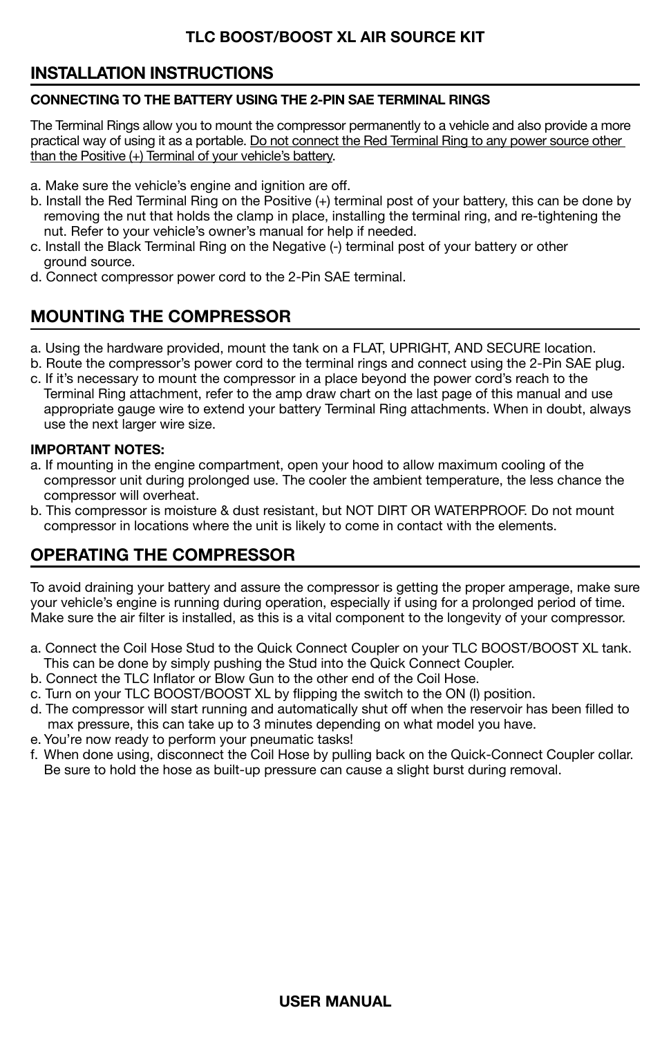# **INSTALLATION INSTRUCTIONS**

#### **CONNECTING TO THE BATTERY USING THE 2-PIN SAE TERMINAL RINGS**

The Terminal Rings allow you to mount the compressor permanently to a vehicle and also provide a more practical way of using it as a portable. Do not connect the Red Terminal Ring to any power source other than the Positive (+) Terminal of your vehicle's battery.

- a. Make sure the vehicle's engine and ignition are off.
- b. Install the Red Terminal Ring on the Positive (+) terminal post of your battery, this can be done by removing the nut that holds the clamp in place, installing the terminal ring, and re-tightening the nut. Refer to your vehicle's owner's manual for help if needed.
- c. Install the Black Terminal Ring on the Negative (-) terminal post of your battery or other ground source.
- d. Connect compressor power cord to the 2-Pin SAE terminal.

# **MOUNTING THE COMPRESSOR**

- a. Using the hardware provided, mount the tank on a FLAT, UPRIGHT, AND SECURE location.
- b. Route the compressor's power cord to the terminal rings and connect using the 2-Pin SAE plug.
- c. If it's necessary to mount the compressor in a place beyond the power cord's reach to the Terminal Ring attachment, refer to the amp draw chart on the last page of this manual and use appropriate gauge wire to extend your battery Terminal Ring attachments. When in doubt, always use the next larger wire size.

#### **IMPORTANT NOTES:**

- a. If mounting in the engine compartment, open your hood to allow maximum cooling of the compressor unit during prolonged use. The cooler the ambient temperature, the less chance the compressor will overheat.
- b. This compressor is moisture & dust resistant, but NOT DIRT OR WATERPROOF. Do not mount compressor in locations where the unit is likely to come in contact with the elements.

# **OPERATING THE COMPRESSOR**

To avoid draining your battery and assure the compressor is getting the proper amperage, make sure your vehicle's engine is running during operation, especially if using for a prolonged period of time. Make sure the air filter is installed, as this is a vital component to the longevity of your compressor.

- a. Connect the Coil Hose Stud to the Quick Connect Coupler on your TLC BOOST/BOOST XL tank. This can be done by simply pushing the Stud into the Quick Connect Coupler.
- b. Connect the TLC Inflator or Blow Gun to the other end of the Coil Hose.
- c. Turn on your TLC BOOST/BOOST XL by flipping the switch to the ON (I) position.
- d. The compressor will start running and automatically shut off when the reservoir has been filled to max pressure, this can take up to 3 minutes depending on what model you have.
- e. You're now ready to perform your pneumatic tasks!
- f. When done using, disconnect the Coil Hose by pulling back on the Quick-Connect Coupler collar. Be sure to hold the hose as built-up pressure can cause a slight burst during removal.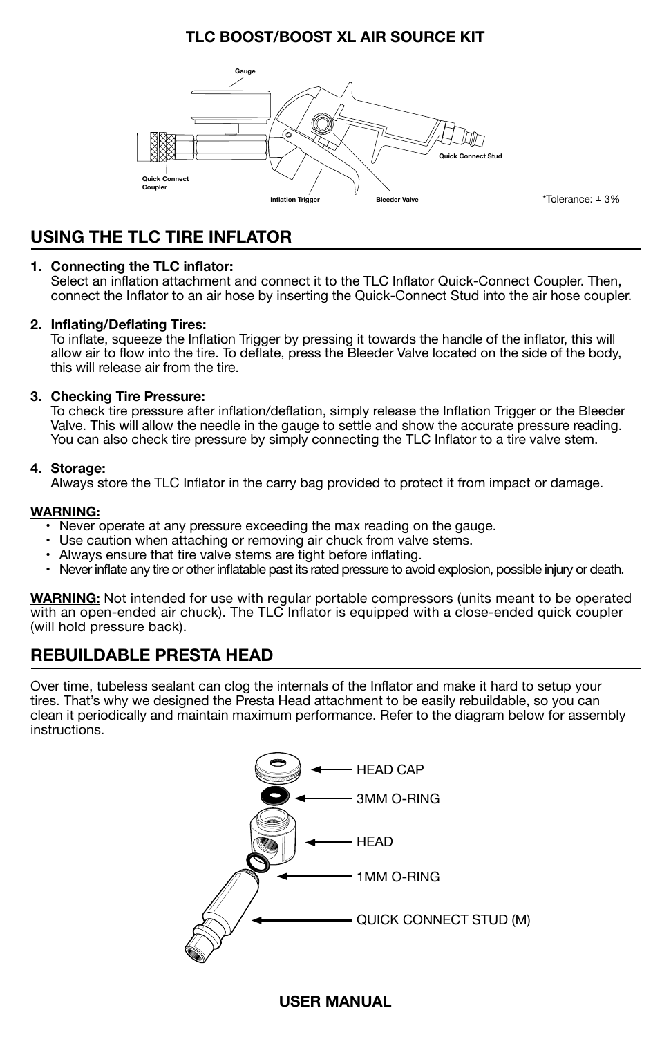

\*Tolerance: ± 3%

# **USING THE TLC TIRE INFLATOR**

#### **1. Connecting the TLC inflator:**

Select an inflation attachment and connect it to the TLC Inflator Quick-Connect Coupler. Then, connect the Inflator to an air hose by inserting the Quick-Connect Stud into the air hose coupler.

#### **2. Inflating/Deflating Tires:**

To inflate, squeeze the Inflation Trigger by pressing it towards the handle of the inflator, this will allow air to flow into the tire. To deflate, press the Bleeder Valve located on the side of the body, this will release air from the tire.

#### **3. Checking Tire Pressure:**

To check tire pressure after inflation/deflation, simply release the Inflation Trigger or the Bleeder Valve. This will allow the needle in the gauge to settle and show the accurate pressure reading. You can also check tire pressure by simply connecting the TLC Inflator to a tire valve stem.

#### **4. Storage:**

Always store the TLC Inflator in the carry bag provided to protect it from impact or damage.

#### **WARNING:**

- Never operate at any pressure exceeding the max reading on the gauge.
- Use caution when attaching or removing air chuck from valve stems.
- Always ensure that tire valve stems are tight before inflating.
- Never inflate any tire or other inflatable past its rated pressure to avoid explosion, possible injury or death.

**WARNING:** Not intended for use with regular portable compressors (units meant to be operated with an open-ended air chuck). The TLC Inflator is equipped with a close-ended quick coupler (will hold pressure back).

## **REBUILDABLE PRESTA HEAD**

Over time, tubeless sealant can clog the internals of the Inflator and make it hard to setup your tires. That's why we designed the Presta Head attachment to be easily rebuildable, so you can clean it periodically and maintain maximum performance. Refer to the diagram below for assembly instructions.

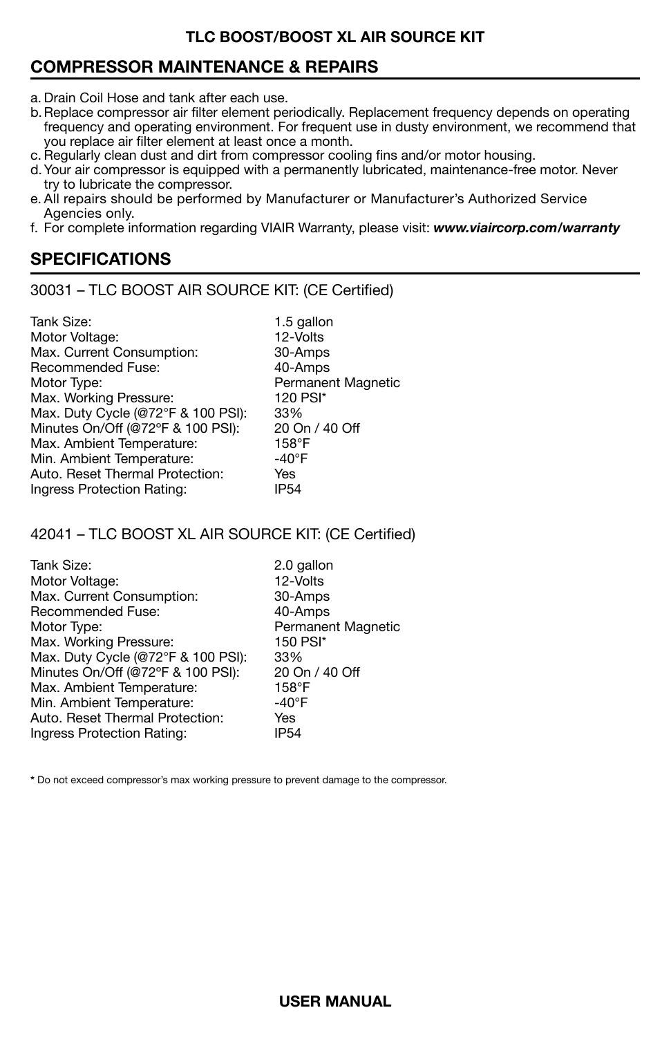# **COMPRESSOR MAINTENANCE & REPAIRS**

- a. Drain Coil Hose and tank after each use.
- b. Replace compressor air filter element periodically. Replacement frequency depends on operating frequency and operating environment. For frequent use in dusty environment, we recommend that you replace air filter element at least once a month.
- c. Regularly clean dust and dirt from compressor cooling fins and/or motor housing.
- d.Your air compressor is equipped with a permanently lubricated, maintenance-free motor. Never try to lubricate the compressor.
- e. All repairs should be performed by Manufacturer or Manufacturer's Authorized Service Agencies only.
- f. For complete information regarding VIAIR Warranty, please visit: *www.viaircorp.com/warranty*

# **SPECIFICATIONS**

30031 – TLC BOOST AIR SOURCE KIT: (CE Certified)

| 1.5 gallon                |
|---------------------------|
| 12-Volts                  |
| 30-Amps                   |
| 40-Amps                   |
| <b>Permanent Magnetic</b> |
| 120 PSI*                  |
| 33%                       |
| 20 On / 40 Off            |
| 158°F                     |
| $-40^{\circ}$ F           |
| Yes                       |
| <b>IP54</b>               |
|                           |

#### 42041 – TLC BOOST XL AIR SOURCE KIT: (CE Certified)

| Tank Size:                         | 2.0 gallon         |
|------------------------------------|--------------------|
| Motor Voltage:                     | 12-Volts           |
| Max. Current Consumption:          | 30-Amps            |
| Recommended Fuse:                  | 40-Amps            |
| Motor Type:                        | Permanent Magnetic |
| Max. Working Pressure:             | 150 PSI*           |
| Max. Duty Cycle (@72°F & 100 PSI): | 33%                |
| Minutes On/Off (@72°F & 100 PSI):  | 20 On / 40 Off     |
| Max. Ambient Temperature:          | 158°F              |
| Min. Ambient Temperature:          | -40°F              |
| Auto, Reset Thermal Protection:    | Yes                |
| Ingress Protection Rating:         | <b>IP54</b>        |

**\*** Do not exceed compressor's max working pressure to prevent damage to the compressor.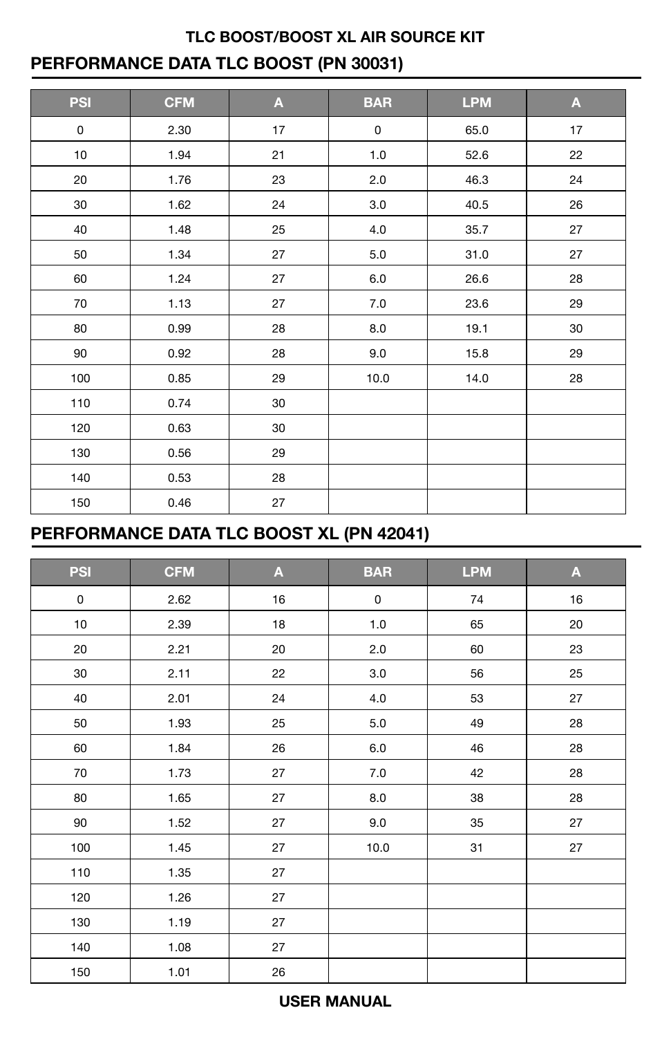# **TLC BOOST/BOOST XL AIR SOURCE KIT PERFORMANCE DATA TLC BOOST (PN 30031)**

| <b>PSI</b> | <b>CFM</b> | $\mathbf{A}$ | <b>BAR</b> | <b>LPM</b> | $\overline{\mathbf{A}}$ |
|------------|------------|--------------|------------|------------|-------------------------|
| 0          | 2.30       | 17           | 0          | 65.0       | 17                      |
| 10         | 1.94       | 21           | 1.0        | 52.6       | 22                      |
| 20         | 1.76       | 23           | 2.0        | 46.3       | 24                      |
| 30         | 1.62       | 24           | 3.0        | 40.5       | 26                      |
| 40         | 1.48       | 25           | 4.0        | 35.7       | 27                      |
| 50         | 1.34       | 27           | 5.0        | 31.0       | 27                      |
| 60         | 1.24       | 27           | 6.0        | 26.6       | 28                      |
| 70         | 1.13       | 27           | $7.0\,$    | 23.6       | 29                      |
| 80         | 0.99       | 28           | 8.0        | 19.1       | 30                      |
| 90         | 0.92       | 28           | 9.0        | 15.8       | 29                      |
| 100        | 0.85       | 29           | 10.0       | 14.0       | 28                      |
| 110        | 0.74       | 30           |            |            |                         |
| 120        | 0.63       | 30           |            |            |                         |
| 130        | 0.56       | 29           |            |            |                         |
| 140        | 0.53       | 28           |            |            |                         |
| 150        | 0.46       | 27           |            |            |                         |

# **PERFORMANCE DATA TLC BOOST XL (PN 42041)**

| <b>PSI</b> | <b>CFM</b> | A  | <b>BAR</b> | <b>LPM</b> | A  |
|------------|------------|----|------------|------------|----|
| 0          | 2.62       | 16 | 0          | 74         | 16 |
| $10$       | 2.39       | 18 | $1.0$      | 65         | 20 |
| 20         | 2.21       | 20 | 2.0        | 60         | 23 |
| 30         | 2.11       | 22 | $3.0\,$    | 56         | 25 |
| 40         | 2.01       | 24 | 4.0        | 53         | 27 |
| 50         | 1.93       | 25 | $5.0\,$    | 49         | 28 |
| 60         | 1.84       | 26 | 6.0        | 46         | 28 |
| 70         | 1.73       | 27 | $7.0$      | 42         | 28 |
| 80         | 1.65       | 27 | 8.0        | 38         | 28 |
| 90         | 1.52       | 27 | 9.0        | 35         | 27 |
| 100        | 1.45       | 27 | 10.0       | 31         | 27 |
| 110        | 1.35       | 27 |            |            |    |
| 120        | 1.26       | 27 |            |            |    |
| 130        | 1.19       | 27 |            |            |    |
| 140        | 1.08       | 27 |            |            |    |
| 150        | 1.01       | 26 |            |            |    |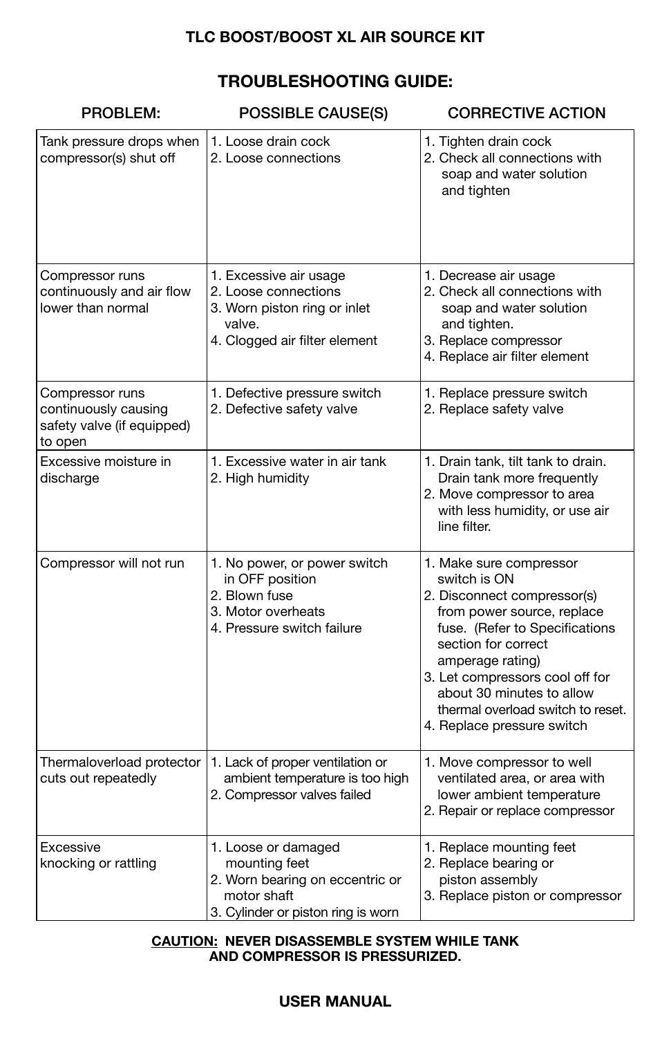# **TROUBLESHOOTING GUIDE:**

| PROBLEM:                                                                         | POSSIBLE CAUSE(S)                                                                                                            | <b>CORRECTIVE ACTION</b>                                                                                                                                                                                                                                                                                             |
|----------------------------------------------------------------------------------|------------------------------------------------------------------------------------------------------------------------------|----------------------------------------------------------------------------------------------------------------------------------------------------------------------------------------------------------------------------------------------------------------------------------------------------------------------|
| Tank pressure drops when<br>compressor(s) shut off                               | 1. Loose drain cock<br>2. Loose connections                                                                                  | 1. Tighten drain cock<br>2. Check all connections with<br>soap and water solution<br>and tighten                                                                                                                                                                                                                     |
| Compressor runs<br>continuously and air flow<br>lower than normal                | 1. Excessive air usage<br>2. Loose connections<br>3. Worn piston ring or inlet<br>valve.<br>4. Clogged air filter element    | 1. Decrease air usage<br>2. Check all connections with<br>soap and water solution<br>and tighten.<br>3. Replace compressor<br>4. Replace air filter element                                                                                                                                                          |
| Compressor runs<br>continuously causing<br>safety valve (if equipped)<br>to open | 1. Defective pressure switch<br>2. Defective safety valve                                                                    | 1. Replace pressure switch<br>2. Replace safety valve                                                                                                                                                                                                                                                                |
| Excessive moisture in<br>discharge                                               | 1. Excessive water in air tank<br>2. High humidity                                                                           | 1. Drain tank, tilt tank to drain.<br>Drain tank more frequently<br>2. Move compressor to area<br>with less humidity, or use air<br>line filter.                                                                                                                                                                     |
| Compressor will not run                                                          | 1. No power, or power switch<br>in OFF position<br>2. Blown fuse<br>3. Motor overheats<br>4. Pressure switch failure         | 1. Make sure compressor<br>switch is ON<br>2. Disconnect compressor(s)<br>from power source, replace<br>fuse. (Refer to Specifications<br>section for correct<br>amperage rating)<br>3. Let compressors cool off for<br>about 30 minutes to allow<br>thermal overload switch to reset.<br>4. Replace pressure switch |
| Thermaloverload protector<br>cuts out repeatedly                                 | 1. Lack of proper ventilation or<br>ambient temperature is too high<br>2. Compressor valves failed                           | 1. Move compressor to well<br>ventilated area, or area with<br>lower ambient temperature<br>2. Repair or replace compressor                                                                                                                                                                                          |
| Excessive<br>knocking or rattling                                                | 1. Loose or damaged<br>mounting feet<br>2. Worn bearing on eccentric or<br>motor shaft<br>3. Cylinder or piston ring is worn | 1. Replace mounting feet<br>2. Replace bearing or<br>piston assembly<br>3. Replace piston or compressor                                                                                                                                                                                                              |

#### **CAUTION: NEVER DISASSEMBLE SYSTEM WHILE TANK AND COMPRESSOR IS PRESSURIZED.**